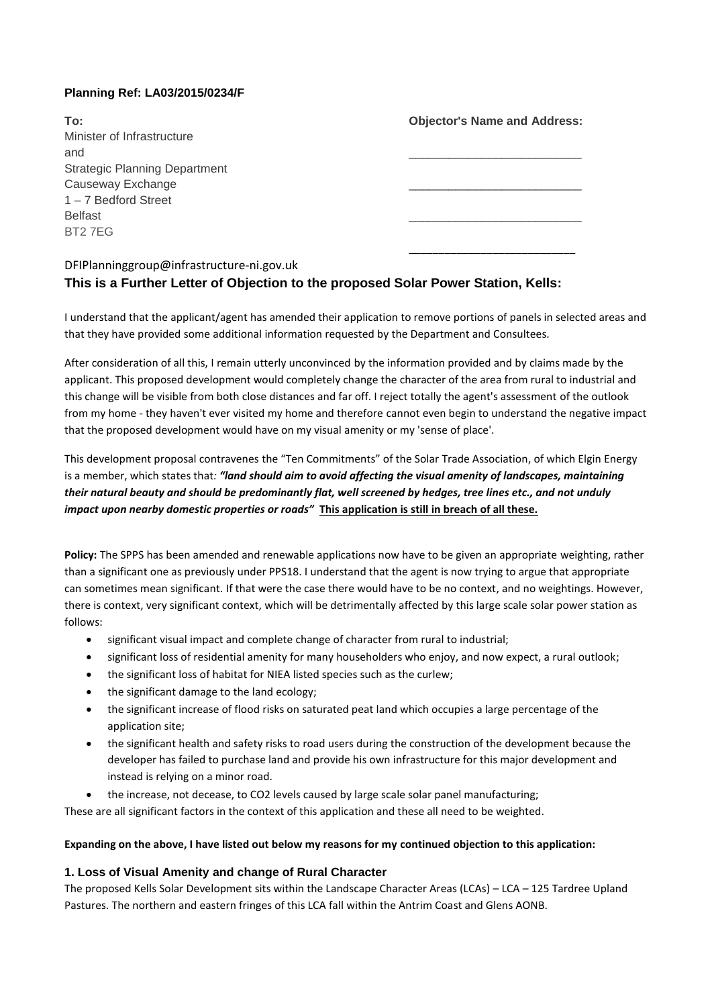### **Planning Ref: LA03/2015/0234/F**

| To:                                  | <b>Objector's Name and Address:</b> |
|--------------------------------------|-------------------------------------|
| Minister of Infrastructure           |                                     |
| and                                  |                                     |
| <b>Strategic Planning Department</b> |                                     |
| Causeway Exchange                    |                                     |
| 1-7 Bedford Street                   |                                     |
| <b>Belfast</b>                       |                                     |
| BT27EG                               |                                     |
|                                      |                                     |
|                                      |                                     |

## DFIPlanninggroup@infrastructure-ni.gov.uk

# **This is a Further Letter of Objection to the proposed Solar Power Station, Kells:**

I understand that the applicant/agent has amended their application to remove portions of panels in selected areas and that they have provided some additional information requested by the Department and Consultees.

After consideration of all this, I remain utterly unconvinced by the information provided and by claims made by the applicant. This proposed development would completely change the character of the area from rural to industrial and this change will be visible from both close distances and far off. I reject totally the agent's assessment of the outlook from my home - they haven't ever visited my home and therefore cannot even begin to understand the negative impact that the proposed development would have on my visual amenity or my 'sense of place'.

This development proposal contravenes the "Ten Commitments" of the Solar Trade Association, of which Elgin Energy is a member, which states that*: "land should aim to avoid affecting the visual amenity of landscapes, maintaining their natural beauty and should be predominantly flat, well screened by hedges, tree lines etc., and not unduly impact upon nearby domestic properties or roads"* **This application is still in breach of all these.**

**Policy:** The SPPS has been amended and renewable applications now have to be given an appropriate weighting, rather than a significant one as previously under PPS18. I understand that the agent is now trying to argue that appropriate can sometimes mean significant. If that were the case there would have to be no context, and no weightings. However, there is context, very significant context, which will be detrimentally affected by this large scale solar power station as follows:

- significant visual impact and complete change of character from rural to industrial;
- significant loss of residential amenity for many householders who enjoy, and now expect, a rural outlook;
- the significant loss of habitat for NIEA listed species such as the curlew;
- the significant damage to the land ecology;
- the significant increase of flood risks on saturated peat land which occupies a large percentage of the application site;
- the significant health and safety risks to road users during the construction of the development because the developer has failed to purchase land and provide his own infrastructure for this major development and instead is relying on a minor road.
- the increase, not decease, to CO2 levels caused by large scale solar panel manufacturing;

These are all significant factors in the context of this application and these all need to be weighted.

#### **Expanding on the above, I have listed out below my reasons for my continued objection to this application:**

#### **1. Loss of Visual Amenity and change of Rural Character**

The proposed Kells Solar Development sits within the Landscape Character Areas (LCAs) – LCA – 125 Tardree Upland Pastures. The northern and eastern fringes of this LCA fall within the Antrim Coast and Glens AONB.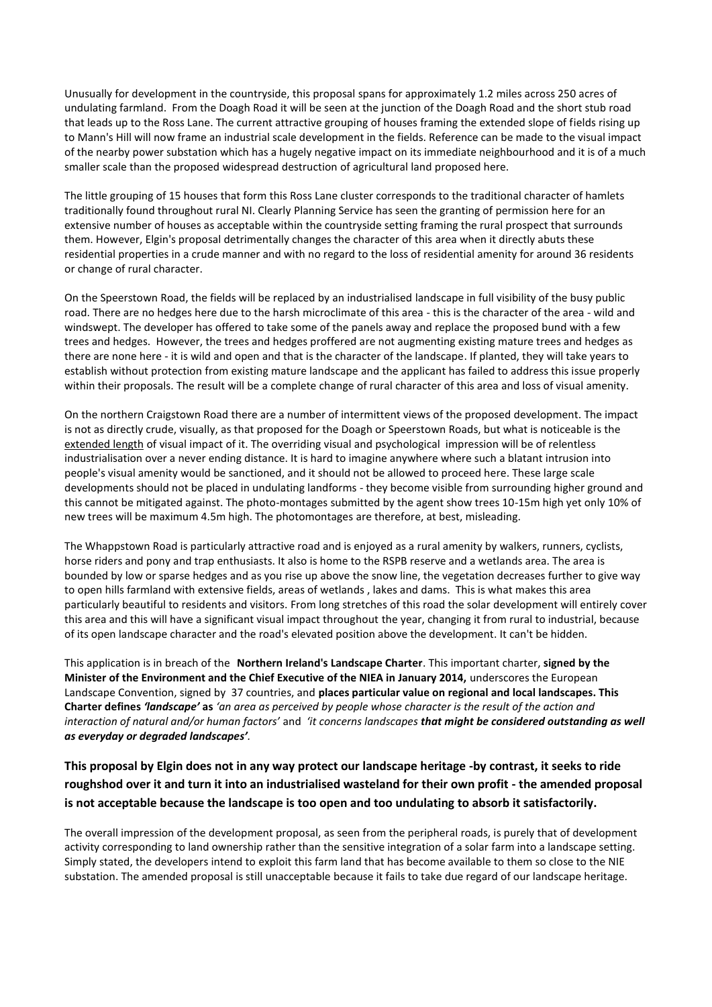Unusually for development in the countryside, this proposal spans for approximately 1.2 miles across 250 acres of undulating farmland. From the Doagh Road it will be seen at the junction of the Doagh Road and the short stub road that leads up to the Ross Lane. The current attractive grouping of houses framing the extended slope of fields rising up to Mann's Hill will now frame an industrial scale development in the fields. Reference can be made to the visual impact of the nearby power substation which has a hugely negative impact on its immediate neighbourhood and it is of a much smaller scale than the proposed widespread destruction of agricultural land proposed here.

The little grouping of 15 houses that form this Ross Lane cluster corresponds to the traditional character of hamlets traditionally found throughout rural NI. Clearly Planning Service has seen the granting of permission here for an extensive number of houses as acceptable within the countryside setting framing the rural prospect that surrounds them. However, Elgin's proposal detrimentally changes the character of this area when it directly abuts these residential properties in a crude manner and with no regard to the loss of residential amenity for around 36 residents or change of rural character.

On the Speerstown Road, the fields will be replaced by an industrialised landscape in full visibility of the busy public road. There are no hedges here due to the harsh microclimate of this area - this is the character of the area - wild and windswept. The developer has offered to take some of the panels away and replace the proposed bund with a few trees and hedges. However, the trees and hedges proffered are not augmenting existing mature trees and hedges as there are none here - it is wild and open and that is the character of the landscape. If planted, they will take years to establish without protection from existing mature landscape and the applicant has failed to address this issue properly within their proposals. The result will be a complete change of rural character of this area and loss of visual amenity.

On the northern Craigstown Road there are a number of intermittent views of the proposed development. The impact is not as directly crude, visually, as that proposed for the Doagh or Speerstown Roads, but what is noticeable is the extended length of visual impact of it. The overriding visual and psychological impression will be of relentless industrialisation over a never ending distance. It is hard to imagine anywhere where such a blatant intrusion into people's visual amenity would be sanctioned, and it should not be allowed to proceed here. These large scale developments should not be placed in undulating landforms - they become visible from surrounding higher ground and this cannot be mitigated against. The photo-montages submitted by the agent show trees 10-15m high yet only 10% of new trees will be maximum 4.5m high. The photomontages are therefore, at best, misleading.

The Whappstown Road is particularly attractive road and is enjoyed as a rural amenity by walkers, runners, cyclists, horse riders and pony and trap enthusiasts. It also is home to the RSPB reserve and a wetlands area. The area is bounded by low or sparse hedges and as you rise up above the snow line, the vegetation decreases further to give way to open hills farmland with extensive fields, areas of wetlands , lakes and dams. This is what makes this area particularly beautiful to residents and visitors. From long stretches of this road the solar development will entirely cover this area and this will have a significant visual impact throughout the year, changing it from rural to industrial, because of its open landscape character and the road's elevated position above the development. It can't be hidden.

This application is in breach of the **Northern Ireland's Landscape Charter**. This important charter, **signed by the Minister of the Environment and the Chief Executive of the NIEA in January 2014,** underscores the European Landscape Convention, signed by 37 countries, and **places particular value on regional and local landscapes. This Charter defines** *'landscape'* **as** *'an area as perceived by people whose character is the result of the action and interaction of natural and/or human factors'* and *'it concerns landscapes that might be considered outstanding as well as everyday or degraded landscapes'.* 

## **This proposal by Elgin does not in any way protect our landscape heritage -by contrast, it seeks to ride roughshod over it and turn it into an industrialised wasteland for their own profit - the amended proposal is not acceptable because the landscape is too open and too undulating to absorb it satisfactorily.**

The overall impression of the development proposal, as seen from the peripheral roads, is purely that of development activity corresponding to land ownership rather than the sensitive integration of a solar farm into a landscape setting. Simply stated, the developers intend to exploit this farm land that has become available to them so close to the NIE substation. The amended proposal is still unacceptable because it fails to take due regard of our landscape heritage.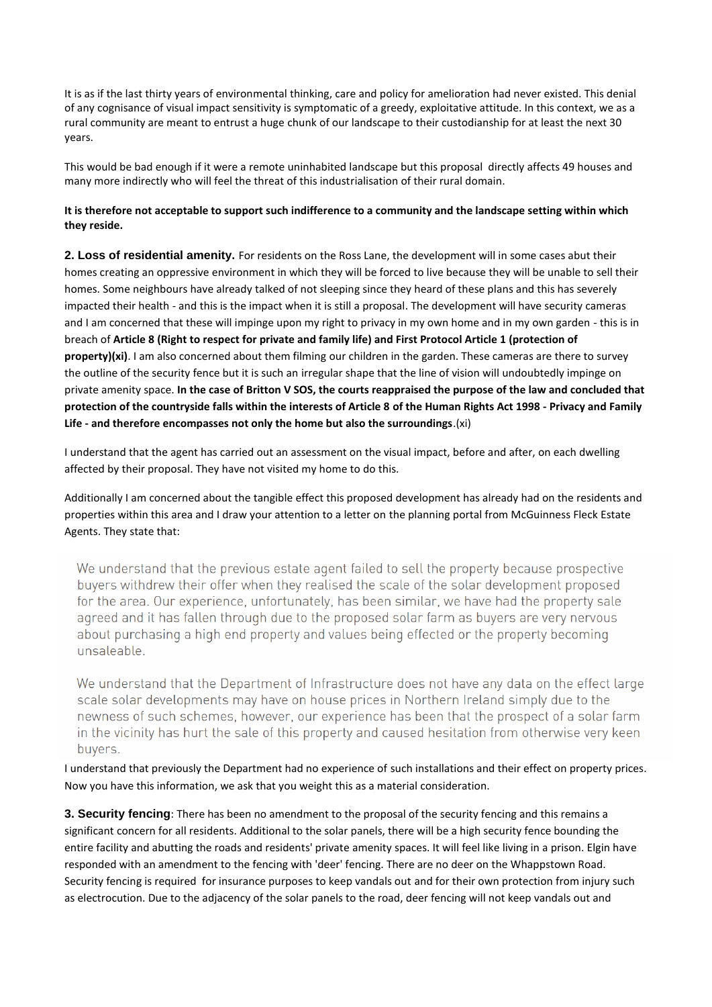It is as if the last thirty years of environmental thinking, care and policy for amelioration had never existed. This denial of any cognisance of visual impact sensitivity is symptomatic of a greedy, exploitative attitude. In this context, we as a rural community are meant to entrust a huge chunk of our landscape to their custodianship for at least the next 30 years.

This would be bad enough if it were a remote uninhabited landscape but this proposal directly affects 49 houses and many more indirectly who will feel the threat of this industrialisation of their rural domain.

#### **It is therefore not acceptable to support such indifference to a community and the landscape setting within which they reside.**

**2. Loss of residential amenity.** For residents on the Ross Lane, the development will in some cases abut their homes creating an oppressive environment in which they will be forced to live because they will be unable to sell their homes. Some neighbours have already talked of not sleeping since they heard of these plans and this has severely impacted their health - and this is the impact when it is still a proposal. The development will have security cameras and I am concerned that these will impinge upon my right to privacy in my own home and in my own garden - this is in breach of **Article 8 (Right to respect for private and family life) and First Protocol Article 1 (protection of property)(xi)**. I am also concerned about them filming our children in the garden. These cameras are there to survey the outline of the security fence but it is such an irregular shape that the line of vision will undoubtedly impinge on private amenity space. **In the case of Britton V SOS, the courts reappraised the purpose of the law and concluded that protection of the countryside falls within the interests of Article 8 of the Human Rights Act 1998 - Privacy and Family Life - and therefore encompasses not only the home but also the surroundings**.(xi)

I understand that the agent has carried out an assessment on the visual impact, before and after, on each dwelling affected by their proposal. They have not visited my home to do this.

Additionally I am concerned about the tangible effect this proposed development has already had on the residents and properties within this area and I draw your attention to a letter on the planning portal from McGuinness Fleck Estate Agents. They state that:

We understand that the previous estate agent failed to sell the property because prospective buyers withdrew their offer when they realised the scale of the solar development proposed for the area. Our experience, unfortunately, has been similar, we have had the property sale agreed and it has fallen through due to the proposed solar farm as buyers are very nervous about purchasing a high end property and values being effected or the property becoming unsaleable.

We understand that the Department of Infrastructure does not have any data on the effect large scale solar developments may have on house prices in Northern Ireland simply due to the newness of such schemes, however, our experience has been that the prospect of a solar farm in the vicinity has hurt the sale of this property and caused hesitation from otherwise very keen buyers.

I understand that previously the Department had no experience of such installations and their effect on property prices. Now you have this information, we ask that you weight this as a material consideration.

**3. Security fencing**: There has been no amendment to the proposal of the security fencing and this remains a significant concern for all residents. Additional to the solar panels, there will be a high security fence bounding the entire facility and abutting the roads and residents' private amenity spaces. It will feel like living in a prison. Elgin have responded with an amendment to the fencing with 'deer' fencing. There are no deer on the Whappstown Road. Security fencing is required for insurance purposes to keep vandals out and for their own protection from injury such as electrocution. Due to the adjacency of the solar panels to the road, deer fencing will not keep vandals out and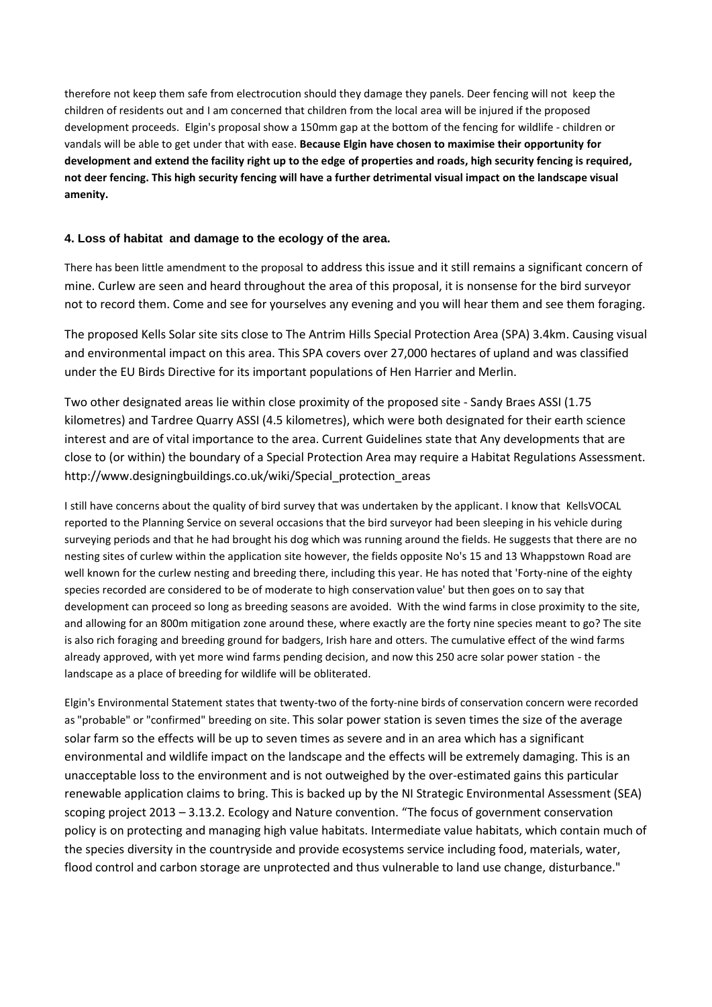therefore not keep them safe from electrocution should they damage they panels. Deer fencing will not keep the children of residents out and I am concerned that children from the local area will be injured if the proposed development proceeds. Elgin's proposal show a 150mm gap at the bottom of the fencing for wildlife - children or vandals will be able to get under that with ease. **Because Elgin have chosen to maximise their opportunity for development and extend the facility right up to the edge of properties and roads, high security fencing is required, not deer fencing. This high security fencing will have a further detrimental visual impact on the landscape visual amenity.**

### **4. Loss of habitat and damage to the ecology of the area.**

There has been little amendment to the proposal to address this issue and it still remains a significant concern of mine. Curlew are seen and heard throughout the area of this proposal, it is nonsense for the bird surveyor not to record them. Come and see for yourselves any evening and you will hear them and see them foraging.

The proposed Kells Solar site sits close to The Antrim Hills Special Protection Area (SPA) 3.4km. Causing visual and environmental impact on this area. This SPA covers over 27,000 hectares of upland and was classified under the EU Birds Directive for its important populations of Hen Harrier and Merlin.

Two other designated areas lie within close proximity of the proposed site - Sandy Braes ASSI (1.75 kilometres) and Tardree Quarry ASSI (4.5 kilometres), which were both designated for their earth science interest and are of vital importance to the area. Current Guidelines state that Any developments that are close to (or within) the boundary of a Special Protection Area may require a Habitat Regulations Assessment. http://www.designingbuildings.co.uk/wiki/Special\_protection\_areas

I still have concerns about the quality of bird survey that was undertaken by the applicant. I know that KellsVOCAL reported to the Planning Service on several occasions that the bird surveyor had been sleeping in his vehicle during surveying periods and that he had brought his dog which was running around the fields. He suggests that there are no nesting sites of curlew within the application site however, the fields opposite No's 15 and 13 Whappstown Road are well known for the curlew nesting and breeding there, including this year. He has noted that 'Forty-nine of the eighty species recorded are considered to be of moderate to high conservation value' but then goes on to say that development can proceed so long as breeding seasons are avoided. With the wind farms in close proximity to the site, and allowing for an 800m mitigation zone around these, where exactly are the forty nine species meant to go? The site is also rich foraging and breeding ground for badgers, Irish hare and otters. The cumulative effect of the wind farms already approved, with yet more wind farms pending decision, and now this 250 acre solar power station - the landscape as a place of breeding for wildlife will be obliterated.

Elgin's Environmental Statement states that twenty-two of the forty-nine birds of conservation concern were recorded as "probable" or "confirmed" breeding on site. This solar power station is seven times the size of the average solar farm so the effects will be up to seven times as severe and in an area which has a significant environmental and wildlife impact on the landscape and the effects will be extremely damaging. This is an unacceptable loss to the environment and is not outweighed by the over-estimated gains this particular renewable application claims to bring. This is backed up by the NI Strategic Environmental Assessment (SEA) scoping project 2013 – 3.13.2. Ecology and Nature convention. "The focus of government conservation policy is on protecting and managing high value habitats. Intermediate value habitats, which contain much of the species diversity in the countryside and provide ecosystems service including food, materials, water, flood control and carbon storage are unprotected and thus vulnerable to land use change, disturbance."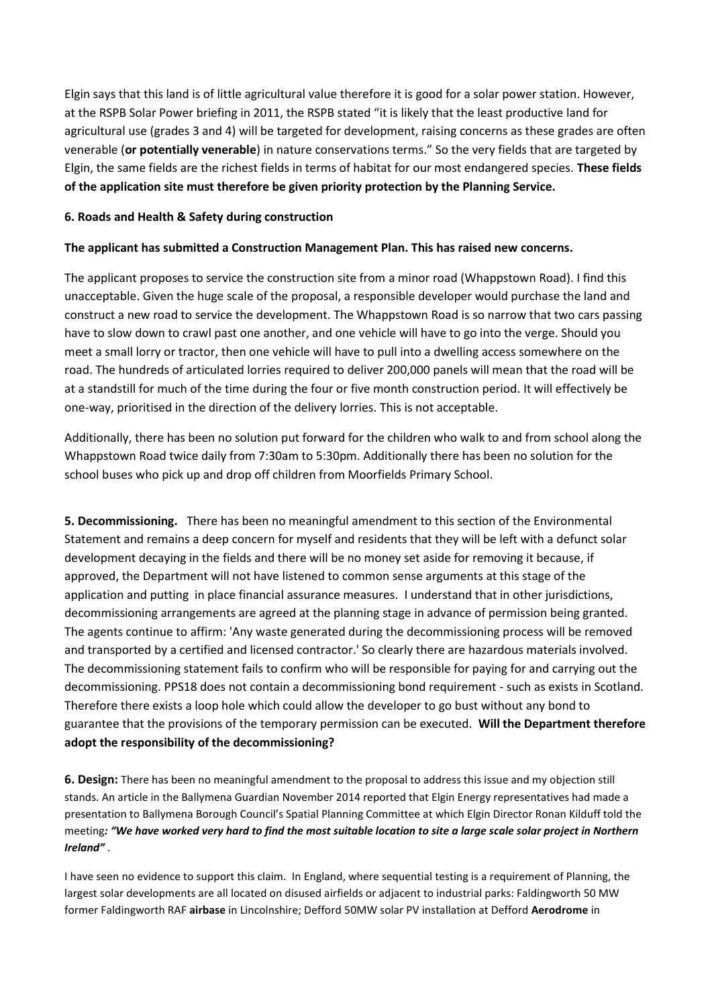Elgin says that this land is of little agricultural value therefore it is good for a solar power station. However, at the RSPB Solar Power briefing in 2011, the RSPB stated "it is likely that the least productive land for agricultural use (grades 3 and 4) will be targeted for development, raising concerns as these grades are often venerable (**or potentially venerable**) in nature conservations terms." So the very fields that are targeted by Elgin, the same fields are the richest fields in terms of habitat for our most endangered species. **These fields of the application site must therefore be given priority protection by the Planning Service.**

### **6. Roads and Health & Safety during construction**

### **The applicant has submitted a Construction Management Plan. This has raised new concerns.**

The applicant proposes to service the construction site from a minor road (Whappstown Road). I find this unacceptable. Given the huge scale of the proposal, a responsible developer would purchase the land and construct a new road to service the development. The Whappstown Road is so narrow that two cars passing have to slow down to crawl past one another, and one vehicle will have to go into the verge. Should you meet a small lorry or tractor, then one vehicle will have to pull into a dwelling access somewhere on the road. The hundreds of articulated lorries required to deliver 200,000 panels will mean that the road will be at a standstill for much of the time during the four or five month construction period. It will effectively be one-way, prioritised in the direction of the delivery lorries. This is not acceptable.

Additionally, there has been no solution put forward for the children who walk to and from school along the Whappstown Road twice daily from 7:30am to 5:30pm. Additionally there has been no solution for the school buses who pick up and drop off children from Moorfields Primary School.

**5. Decommissioning.** There has been no meaningful amendment to this section of the Environmental Statement and remains a deep concern for myself and residents that they will be left with a defunct solar development decaying in the fields and there will be no money set aside for removing it because, if approved, the Department will not have listened to common sense arguments at this stage of the application and putting in place financial assurance measures. I understand that in other jurisdictions, decommissioning arrangements are agreed at the planning stage in advance of permission being granted. The agents continue to affirm: 'Any waste generated during the decommissioning process will be removed and transported by a certified and licensed contractor.' So clearly there are hazardous materials involved. The decommissioning statement fails to confirm who will be responsible for paying for and carrying out the decommissioning. PPS18 does not contain a decommissioning bond requirement - such as exists in Scotland. Therefore there exists a loop hole which could allow the developer to go bust without any bond to guarantee that the provisions of the temporary permission can be executed. **Will the Department therefore adopt the responsibility of the decommissioning?**

**6. Design:** There has been no meaningful amendment to the proposal to address this issue and my objection still stands. An article in the Ballymena Guardian November 2014 reported that Elgin Energy representatives had made a presentation to Ballymena Borough Council's Spatial Planning Committee at which Elgin Director Ronan Kilduff told the meeting*: "We have worked very hard to find the most suitable location to site a large scale solar project in Northern Ireland"* .

I have seen no evidence to support this claim. In England, where sequential testing is a requirement of Planning, the largest solar developments are all located on disused airfields or adjacent to industrial parks: Faldingworth 50 MW former Faldingworth RAF **airbase** in Lincolnshire; Defford 50MW solar PV installation at Defford **Aerodrome** in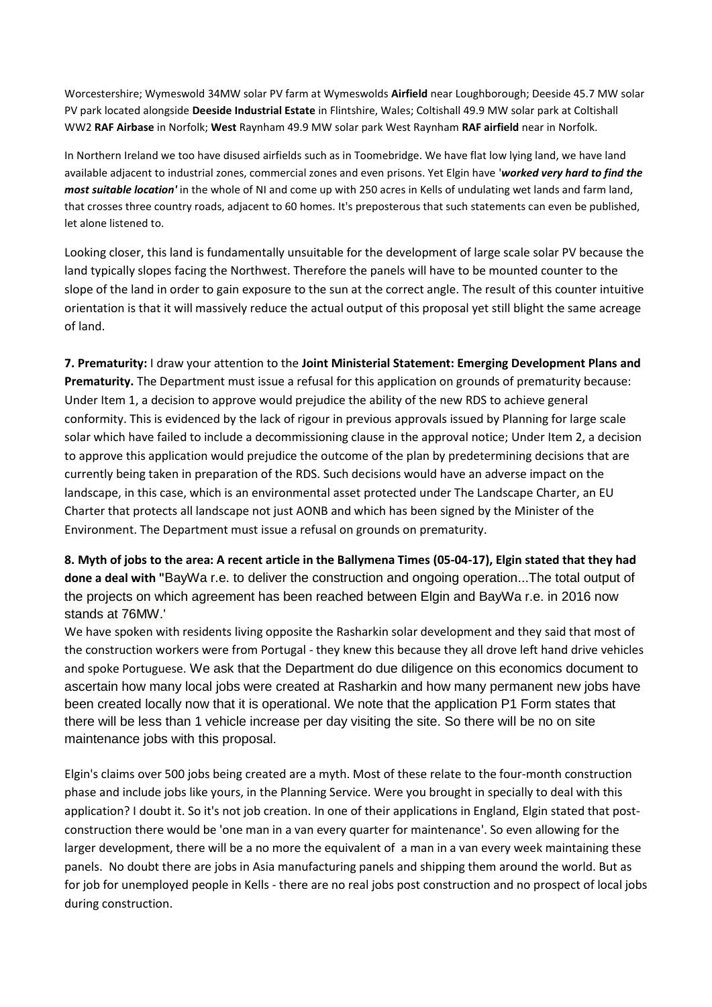Worcestershire; Wymeswold 34MW solar PV farm at Wymeswolds **Airfield** near Loughborough; Deeside 45.7 MW solar PV park located alongside **Deeside Industrial Estate** in Flintshire, Wales; Coltishall 49.9 MW solar park at Coltishall WW2 **RAF Airbase** in Norfolk; **West** Raynham 49.9 MW solar park West Raynham **RAF airfield** near in Norfolk.

In Northern Ireland we too have disused airfields such as in Toomebridge. We have flat low lying land, we have land available adjacent to industrial zones, commercial zones and even prisons. Yet Elgin have '*worked very hard to find the most suitable location'* in the whole of NI and come up with 250 acres in Kells of undulating wet lands and farm land, that crosses three country roads, adjacent to 60 homes. It's preposterous that such statements can even be published, let alone listened to.

Looking closer, this land is fundamentally unsuitable for the development of large scale solar PV because the land typically slopes facing the Northwest. Therefore the panels will have to be mounted counter to the slope of the land in order to gain exposure to the sun at the correct angle. The result of this counter intuitive orientation is that it will massively reduce the actual output of this proposal yet still blight the same acreage of land.

**7. Prematurity:** I draw your attention to the **Joint Ministerial Statement: Emerging Development Plans and Prematurity.** The Department must issue a refusal for this application on grounds of prematurity because: Under Item 1, a decision to approve would prejudice the ability of the new RDS to achieve general conformity. This is evidenced by the lack of rigour in previous approvals issued by Planning for large scale solar which have failed to include a decommissioning clause in the approval notice; Under Item 2, a decision to approve this application would prejudice the outcome of the plan by predetermining decisions that are currently being taken in preparation of the RDS. Such decisions would have an adverse impact on the landscape, in this case, which is an environmental asset protected under The Landscape Charter, an EU Charter that protects all landscape not just AONB and which has been signed by the Minister of the Environment. The Department must issue a refusal on grounds on prematurity.

**8. Myth of jobs to the area: A recent article in the Ballymena Times (05-04-17), Elgin stated that they had done a deal with "**BayWa r.e. to deliver the construction and ongoing operation...The total output of the projects on which agreement has been reached between Elgin and BayWa r.e. in 2016 now stands at 76MW.'

We have spoken with residents living opposite the Rasharkin solar development and they said that most of the construction workers were from Portugal - they knew this because they all drove left hand drive vehicles and spoke Portuguese. We ask that the Department do due diligence on this economics document to ascertain how many local jobs were created at Rasharkin and how many permanent new jobs have been created locally now that it is operational. We note that the application P1 Form states that there will be less than 1 vehicle increase per day visiting the site. So there will be no on site maintenance jobs with this proposal.

Elgin's claims over 500 jobs being created are a myth. Most of these relate to the four-month construction phase and include jobs like yours, in the Planning Service. Were you brought in specially to deal with this application? I doubt it. So it's not job creation. In one of their applications in England, Elgin stated that postconstruction there would be 'one man in a van every quarter for maintenance'. So even allowing for the larger development, there will be a no more the equivalent of a man in a van every week maintaining these panels. No doubt there are jobs in Asia manufacturing panels and shipping them around the world. But as for job for unemployed people in Kells - there are no real jobs post construction and no prospect of local jobs during construction.